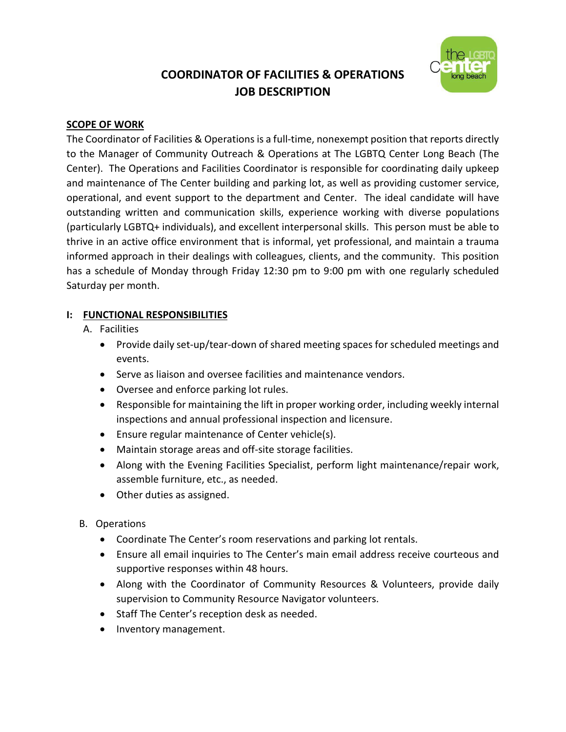# **COORDINATOR OF FACILITIES & OPERATIONS JOB DESCRIPTION**



## **SCOPE OF WORK**

The Coordinator of Facilities & Operations is a full-time, nonexempt position that reports directly to the Manager of Community Outreach & Operations at The LGBTQ Center Long Beach (The Center). The Operations and Facilities Coordinator is responsible for coordinating daily upkeep and maintenance of The Center building and parking lot, as well as providing customer service, operational, and event support to the department and Center. The ideal candidate will have outstanding written and communication skills, experience working with diverse populations (particularly LGBTQ+ individuals), and excellent interpersonal skills. This person must be able to thrive in an active office environment that is informal, yet professional, and maintain a trauma informed approach in their dealings with colleagues, clients, and the community. This position has a schedule of Monday through Friday 12:30 pm to 9:00 pm with one regularly scheduled Saturday per month.

# **I: FUNCTIONAL RESPONSIBILITIES**

- A. Facilities
	- Provide daily set-up/tear-down of shared meeting spaces for scheduled meetings and events.
	- Serve as liaison and oversee facilities and maintenance vendors.
	- Oversee and enforce parking lot rules.
	- Responsible for maintaining the lift in proper working order, including weekly internal inspections and annual professional inspection and licensure.
	- Ensure regular maintenance of Center vehicle(s).
	- Maintain storage areas and off-site storage facilities.
	- Along with the Evening Facilities Specialist, perform light maintenance/repair work, assemble furniture, etc., as needed.
	- Other duties as assigned.
- B. Operations
	- Coordinate The Center's room reservations and parking lot rentals.
	- Ensure all email inquiries to The Center's main email address receive courteous and supportive responses within 48 hours.
	- Along with the Coordinator of Community Resources & Volunteers, provide daily supervision to Community Resource Navigator volunteers.
	- Staff The Center's reception desk as needed.
	- Inventory management.